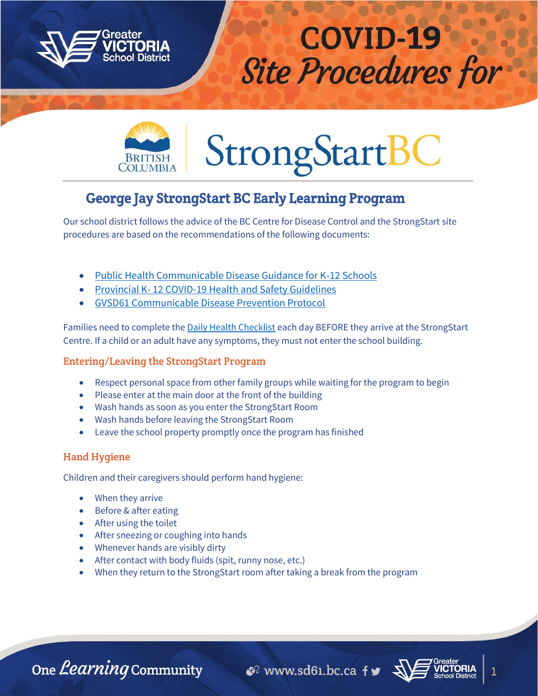



# StrongStartBC

# George Jay StrongStart BC Early Learning Program

Our school district follows the advice of the BC Centre for Disease Control and the StrongStart site procedures are based on the recommendations of the following documents:

- [Public Health Communicable Disease Guidance for K-12 Schools](https://www.sd61.bc.ca/wp-content/uploads/sites/91/2021/08/BCCDC-Health-Guidance-k-12-schools.pdf)
- Provincial K- [12 COVID-19 Health and Safety Guidelines](https://www.sd61.bc.ca/wp-content/uploads/sites/91/2021/08/Provincial-k-12-covid-19-health-safety-guidlines.pdf)
- [GVSD61 Communicable Disease Prevention Protocol](file:///C:/Users/lswan/Desktop/GVSD61%20Communicable%20Disease%20Prevention%20Protocol)

Families need to complete the [Daily Health Checklist](https://www.sd61.bc.ca/wp-content/uploads/sites/91/2021/01/GVSD61_DailyHealthChecklist_20210115_parents.pdf) each day BEFORE they arrive at the StrongStart Centre. If a child or an adult have any symptoms, they must not enter the school building.

### Entering/Leaving the StrongStart Program

- Respect personal space from other family groups while waiting for the program to begin
- Please enter at the main door at the front of the building
- Wash hands as soon as you enter the StrongStart Room
- Wash hands before leaving the StrongStart Room
- Leave the school property promptly once the program has finished

## Hand Hygiene

Children and their caregivers should perform hand hygiene:

- When they arrive
- Before & after eating
- After using the toilet
- After sneezing or coughing into hands
- Whenever hands are visibly dirty
- After contact with body fluids (spit, runny nose, etc.)
- When they return to the StrongStart room after taking a break from the program

One *Learning* Community

 $\bullet$ <sup>2</sup> www.sd61.bc.ca f  $\bullet$